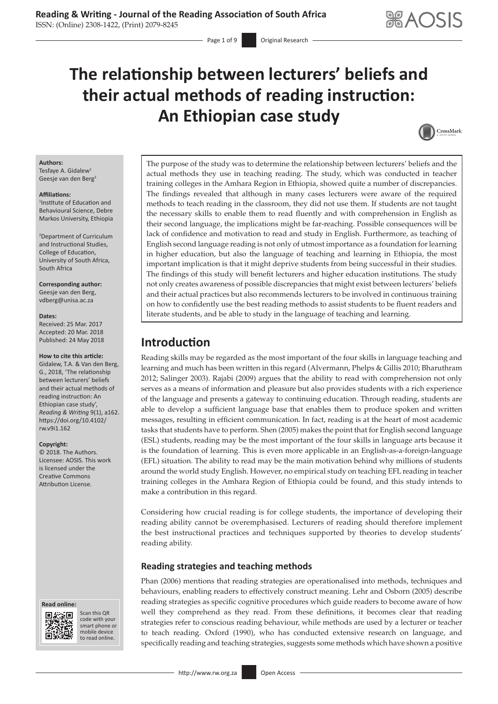# **The relationship between lecturers' beliefs and their actual methods of reading instruction: An Ethiopian case study**

Page 1 of 9 **Original Research** 



## **Authors:**

Tesfaye A. Gidalew<sup>1</sup> Geesje van den Berg<sup>2</sup>

#### **Affiliations:**

1 Institute of Education and Behavioural Science, Debre Markos University, Ethiopia

2 Department of Curriculum and Instructional Studies, College of Education, University of South Africa, South Africa

## **Corresponding author:**

Geesje van den Berg, [vdberg@unisa.ac.za](mailto:vdberg@unisa.ac.za)

#### **Dates:**

Received: 25 Mar. 2017 Accepted: 20 Mar. 2018 Published: 24 May 2018

#### **How to cite this article:**

Gidalew, T.A. & Van den Berg, G., 2018, 'The relationship between lecturers' beliefs and their actual methods of reading instruction: An Ethiopian case study', *Reading & Writing* 9(1), a162. [https://doi.org/10.4102/](https://doi.org/10.4102/rw.v9i1.162) [rw.v9i1.162](https://doi.org/10.4102/rw.v9i1.162)

#### **Copyright:**

© 2018. The Authors. Licensee: AOSIS. This work is licensed under the Creative Commons Attribution License.

#### **Read online: Read**



Scan this QR code with your Scan this QR<br>code with your<br>smart phone or<br>mobile device mobile device to read online. to read online.

The purpose of the study was to determine the relationship between lecturers' beliefs and the actual methods they use in teaching reading. The study, which was conducted in teacher training colleges in the Amhara Region in Ethiopia, showed quite a number of discrepancies. The findings revealed that although in many cases lecturers were aware of the required methods to teach reading in the classroom, they did not use them. If students are not taught the necessary skills to enable them to read fluently and with comprehension in English as their second language, the implications might be far-reaching. Possible consequences will be lack of confidence and motivation to read and study in English. Furthermore, as teaching of English second language reading is not only of utmost importance as a foundation for learning in higher education, but also the language of teaching and learning in Ethiopia, the most important implication is that it might deprive students from being successful in their studies. The findings of this study will benefit lecturers and higher education institutions. The study not only creates awareness of possible discrepancies that might exist between lecturers' beliefs and their actual practices but also recommends lecturers to be involved in continuous training on how to confidently use the best reading methods to assist students to be fluent readers and literate students, and be able to study in the language of teaching and learning.

# **Introduction**

Reading skills may be regarded as the most important of the four skills in language teaching and learning and much has been written in this regard (Alvermann, Phelps & Gillis 2010; Bharuthram 2012; Salinger 2003). Rajabi (2009) argues that the ability to read with comprehension not only serves as a means of information and pleasure but also provides students with a rich experience of the language and presents a gateway to continuing education. Through reading, students are able to develop a sufficient language base that enables them to produce spoken and written messages, resulting in efficient communication. In fact, reading is at the heart of most academic tasks that students have to perform. Shen (2005) makes the point that for English second language (ESL) students, reading may be the most important of the four skills in language arts because it is the foundation of learning. This is even more applicable in an English-as-a-foreign-language (EFL) situation. The ability to read may be the main motivation behind why millions of students around the world study English. However, no empirical study on teaching EFL reading in teacher training colleges in the Amhara Region of Ethiopia could be found, and this study intends to make a contribution in this regard.

Considering how crucial reading is for college students, the importance of developing their reading ability cannot be overemphasised. Lecturers of reading should therefore implement the best instructional practices and techniques supported by theories to develop students' reading ability.

#### **Reading strategies and teaching methods**

Phan (2006) mentions that reading strategies are operationalised into methods, techniques and behaviours, enabling readers to effectively construct meaning. Lehr and Osborn (2005) describe reading strategies as specific cognitive procedures which guide readers to become aware of how well they comprehend as they read. From these definitions, it becomes clear that reading strategies refer to conscious reading behaviour, while methods are used by a lecturer or teacher to teach reading. Oxford (1990), who has conducted extensive research on language, and specifically reading and teaching strategies, suggests some methods which have shown a positive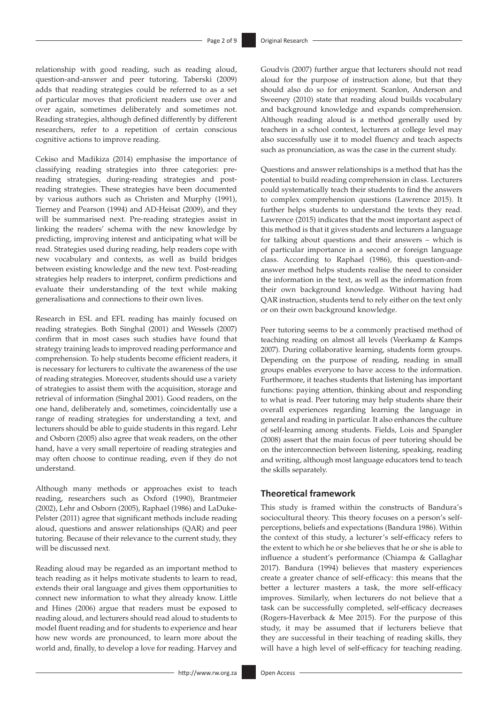relationship with good reading, such as reading aloud, question-and-answer and peer tutoring. Taberski (2009) adds that reading strategies could be referred to as a set of particular moves that proficient readers use over and over again, sometimes deliberately and sometimes not. Reading strategies, although defined differently by different researchers, refer to a repetition of certain conscious cognitive actions to improve reading.

Cekiso and Madikiza (2014) emphasise the importance of classifying reading strategies into three categories: prereading strategies, during-reading strategies and postreading strategies. These strategies have been documented by various authors such as Christen and Murphy (1991), Tierney and Pearson (1994) and AD-Heisat (2009), and they will be summarised next. Pre-reading strategies assist in linking the readers' schema with the new knowledge by predicting, improving interest and anticipating what will be read. Strategies used during reading, help readers cope with new vocabulary and contexts, as well as build bridges between existing knowledge and the new text. Post-reading strategies help readers to interpret, confirm predictions and evaluate their understanding of the text while making generalisations and connections to their own lives.

Research in ESL and EFL reading has mainly focused on reading strategies. Both Singhal (2001) and Wessels (2007) confirm that in most cases such studies have found that strategy training leads to improved reading performance and comprehension. To help students become efficient readers, it is necessary for lecturers to cultivate the awareness of the use of reading strategies. Moreover, students should use a variety of strategies to assist them with the acquisition, storage and retrieval of information (Singhal 2001). Good readers, on the one hand, deliberately and, sometimes, coincidentally use a range of reading strategies for understanding a text, and lecturers should be able to guide students in this regard. Lehr and Osborn (2005) also agree that weak readers, on the other hand, have a very small repertoire of reading strategies and may often choose to continue reading, even if they do not understand.

Although many methods or approaches exist to teach reading, researchers such as Oxford (1990), Brantmeier (2002), Lehr and Osborn (2005), Raphael (1986) and LaDuke-Pelster (2011) agree that significant methods include reading aloud, questions and answer relationships (QAR) and peer tutoring. Because of their relevance to the current study, they will be discussed next.

Reading aloud may be regarded as an important method to teach reading as it helps motivate students to learn to read, extends their oral language and gives them opportunities to connect new information to what they already know. Little and Hines (2006) argue that readers must be exposed to reading aloud, and lecturers should read aloud to students to model fluent reading and for students to experience and hear how new words are pronounced, to learn more about the world and, finally, to develop a love for reading. Harvey and

Goudvis (2007) further argue that lecturers should not read aloud for the purpose of instruction alone, but that they should also do so for enjoyment. Scanlon, Anderson and Sweeney (2010) state that reading aloud builds vocabulary and background knowledge and expands comprehension. Although reading aloud is a method generally used by teachers in a school context, lecturers at college level may also successfully use it to model fluency and teach aspects such as pronunciation, as was the case in the current study.

Questions and answer relationships is a method that has the potential to build reading comprehension in class. Lecturers could systematically teach their students to find the answers to complex comprehension questions (Lawrence 2015). It further helps students to understand the texts they read. Lawrence (2015) indicates that the most important aspect of this method is that it gives students and lecturers a language for talking about questions and their answers – which is of particular importance in a second or foreign language class. According to Raphael (1986), this question-andanswer method helps students realise the need to consider the information in the text, as well as the information from their own background knowledge. Without having had QAR instruction, students tend to rely either on the text only or on their own background knowledge.

Peer tutoring seems to be a commonly practised method of teaching reading on almost all levels (Veerkamp & Kamps 2007). During collaborative learning, students form groups. Depending on the purpose of reading, reading in small groups enables everyone to have access to the information. Furthermore, it teaches students that listening has important functions: paying attention, thinking about and responding to what is read. Peer tutoring may help students share their overall experiences regarding learning the language in general and reading in particular. It also enhances the culture of self-learning among students. Fields, Lois and Spangler (2008) assert that the main focus of peer tutoring should be on the interconnection between listening, speaking, reading and writing, although most language educators tend to teach the skills separately.

## **Theoretical framework**

This study is framed within the constructs of Bandura's sociocultural theory. This theory focuses on a person's selfperceptions, beliefs and expectations (Bandura 1986). Within the context of this study, a lecturer's self-efficacy refers to the extent to which he or she believes that he or she is able to influence a student's performance (Chiampa & Gallaghar 2017). Bandura (1994) believes that mastery experiences create a greater chance of self-efficacy: this means that the better a lecturer masters a task, the more self-efficacy improves. Similarly, when lecturers do not believe that a task can be successfully completed, self-efficacy decreases (Rogers-Haverback & Mee 2015). For the purpose of this study, it may be assumed that if lecturers believe that they are successful in their teaching of reading skills, they will have a high level of self-efficacy for teaching reading.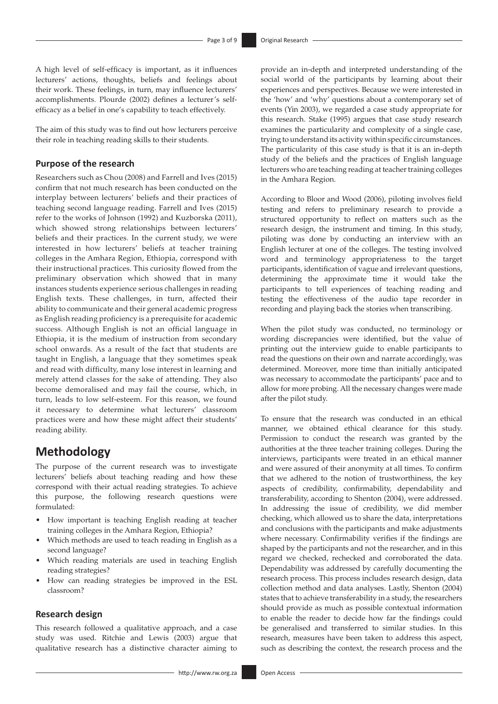A high level of self-efficacy is important, as it influences lecturers' actions, thoughts, beliefs and feelings about their work. These feelings, in turn, may influence lecturers' accomplishments. Plourde (2002) defines a lecturer's selfefficacy as a belief in one's capability to teach effectively.

The aim of this study was to find out how lecturers perceive their role in teaching reading skills to their students.

#### **Purpose of the research**

Researchers such as Chou (2008) and Farrell and Ives (2015) confirm that not much research has been conducted on the interplay between lecturers' beliefs and their practices of teaching second language reading. Farrell and Ives (2015) refer to the works of Johnson (1992) and Kuzborska (2011), which showed strong relationships between lecturers' beliefs and their practices. In the current study, we were interested in how lecturers' beliefs at teacher training colleges in the Amhara Region, Ethiopia, correspond with their instructional practices. This curiosity flowed from the preliminary observation which showed that in many instances students experience serious challenges in reading English texts. These challenges, in turn, affected their ability to communicate and their general academic progress as English reading proficiency is a prerequisite for academic success. Although English is not an official language in Ethiopia, it is the medium of instruction from secondary school onwards. As a result of the fact that students are taught in English, a language that they sometimes speak and read with difficulty, many lose interest in learning and merely attend classes for the sake of attending. They also become demoralised and may fail the course, which, in turn, leads to low self-esteem. For this reason, we found it necessary to determine what lecturers' classroom practices were and how these might affect their students' reading ability.

# **Methodology**

The purpose of the current research was to investigate lecturers' beliefs about teaching reading and how these correspond with their actual reading strategies. To achieve this purpose, the following research questions were formulated:

- How important is teaching English reading at teacher training colleges in the Amhara Region, Ethiopia?
- Which methods are used to teach reading in English as a second language?
- Which reading materials are used in teaching English reading strategies?
- How can reading strategies be improved in the ESL classroom?

#### **Research design**

This research followed a qualitative approach, and a case study was used. Ritchie and Lewis (2003) argue that qualitative research has a distinctive character aiming to

provide an in-depth and interpreted understanding of the social world of the participants by learning about their experiences and perspectives. Because we were interested in the 'how' and 'why' questions about a contemporary set of events (Yin 2003), we regarded a case study appropriate for this research. Stake (1995) argues that case study research examines the particularity and complexity of a single case, trying to understand its activity within specific circumstances. The particularity of this case study is that it is an in-depth study of the beliefs and the practices of English language lecturers who are teaching reading at teacher training colleges in the Amhara Region.

According to Bloor and Wood (2006), piloting involves field testing and refers to preliminary research to provide a structured opportunity to reflect on matters such as the research design, the instrument and timing. In this study, piloting was done by conducting an interview with an English lecturer at one of the colleges. The testing involved word and terminology appropriateness to the target participants, identification of vague and irrelevant questions, determining the approximate time it would take the participants to tell experiences of teaching reading and testing the effectiveness of the audio tape recorder in recording and playing back the stories when transcribing.

When the pilot study was conducted, no terminology or wording discrepancies were identified, but the value of printing out the interview guide to enable participants to read the questions on their own and narrate accordingly, was determined. Moreover, more time than initially anticipated was necessary to accommodate the participants' pace and to allow for more probing. All the necessary changes were made after the pilot study.

To ensure that the research was conducted in an ethical manner, we obtained ethical clearance for this study. Permission to conduct the research was granted by the authorities at the three teacher training colleges. During the interviews, participants were treated in an ethical manner and were assured of their anonymity at all times. To confirm that we adhered to the notion of trustworthiness, the key aspects of credibility, confirmability, dependability and transferability, according to Shenton (2004), were addressed. In addressing the issue of credibility, we did member checking, which allowed us to share the data, interpretations and conclusions with the participants and make adjustments where necessary. Confirmability verifies if the findings are shaped by the participants and not the researcher, and in this regard we checked, rechecked and corroborated the data. Dependability was addressed by carefully documenting the research process. This process includes research design, data collection method and data analyses. Lastly, Shenton (2004) states that to achieve transferability in a study, the researchers should provide as much as possible contextual information to enable the reader to decide how far the findings could be generalised and transferred to similar studies. In this research, measures have been taken to address this aspect, such as describing the context, the research process and the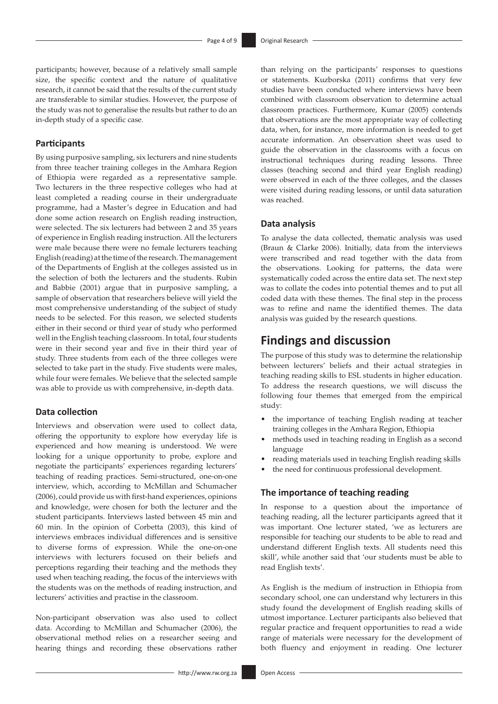participants; however, because of a relatively small sample size, the specific context and the nature of qualitative research, it cannot be said that the results of the current study are transferable to similar studies. However, the purpose of the study was not to generalise the results but rather to do an in-depth study of a specific case.

#### **Participants**

By using purposive sampling, six lecturers and nine students from three teacher training colleges in the Amhara Region of Ethiopia were regarded as a representative sample. Two lecturers in the three respective colleges who had at least completed a reading course in their undergraduate programme, had a Master's degree in Education and had done some action research on English reading instruction, were selected. The six lecturers had between 2 and 35 years of experience in English reading instruction. All the lecturers were male because there were no female lecturers teaching English (reading) at the time of the research. The management of the Departments of English at the colleges assisted us in the selection of both the lecturers and the students. Rubin and Babbie (2001) argue that in purposive sampling, a sample of observation that researchers believe will yield the most comprehensive understanding of the subject of study needs to be selected. For this reason, we selected students either in their second or third year of study who performed well in the English teaching classroom. In total, four students were in their second year and five in their third year of study. Three students from each of the three colleges were selected to take part in the study. Five students were males, while four were females. We believe that the selected sample was able to provide us with comprehensive, in-depth data.

#### **Data collection**

Interviews and observation were used to collect data, offering the opportunity to explore how everyday life is experienced and how meaning is understood. We were looking for a unique opportunity to probe, explore and negotiate the participants' experiences regarding lecturers' teaching of reading practices. Semi-structured, one-on-one interview, which, according to McMillan and Schumacher (2006), could provide us with first-hand experiences, opinions and knowledge, were chosen for both the lecturer and the student participants. Interviews lasted between 45 min and 60 min. In the opinion of Corbetta (2003), this kind of interviews embraces individual differences and is sensitive to diverse forms of expression. While the one-on-one interviews with lecturers focused on their beliefs and perceptions regarding their teaching and the methods they used when teaching reading, the focus of the interviews with the students was on the methods of reading instruction, and lecturers' activities and practise in the classroom.

Non-participant observation was also used to collect data. According to McMillan and Schumacher (2006), the observational method relies on a researcher seeing and hearing things and recording these observations rather

than relying on the participants' responses to questions or statements. Kuzborska (2011) confirms that very few studies have been conducted where interviews have been combined with classroom observation to determine actual classroom practices. Furthermore, Kumar (2005) contends that observations are the most appropriate way of collecting data, when, for instance, more information is needed to get accurate information. An observation sheet was used to guide the observation in the classrooms with a focus on instructional techniques during reading lessons. Three classes (teaching second and third year English reading) were observed in each of the three colleges, and the classes were visited during reading lessons, or until data saturation was reached.

#### **Data analysis**

To analyse the data collected, thematic analysis was used (Braun & Clarke 2006). Initially, data from the interviews were transcribed and read together with the data from the observations. Looking for patterns, the data were systematically coded across the entire data set. The next step was to collate the codes into potential themes and to put all coded data with these themes. The final step in the process was to refine and name the identified themes. The data analysis was guided by the research questions.

## **Findings and discussion**

The purpose of this study was to determine the relationship between lecturers' beliefs and their actual strategies in teaching reading skills to ESL students in higher education. To address the research questions, we will discuss the following four themes that emerged from the empirical study:

- the importance of teaching English reading at teacher training colleges in the Amhara Region, Ethiopia
- methods used in teaching reading in English as a second language
- reading materials used in teaching English reading skills
- the need for continuous professional development.

## **The importance of teaching reading**

In response to a question about the importance of teaching reading, all the lecturer participants agreed that it was important. One lecturer stated, 'we as lecturers are responsible for teaching our students to be able to read and understand different English texts. All students need this skill', while another said that 'our students must be able to read English texts'.

As English is the medium of instruction in Ethiopia from secondary school, one can understand why lecturers in this study found the development of English reading skills of utmost importance. Lecturer participants also believed that regular practice and frequent opportunities to read a wide range of materials were necessary for the development of both fluency and enjoyment in reading. One lecturer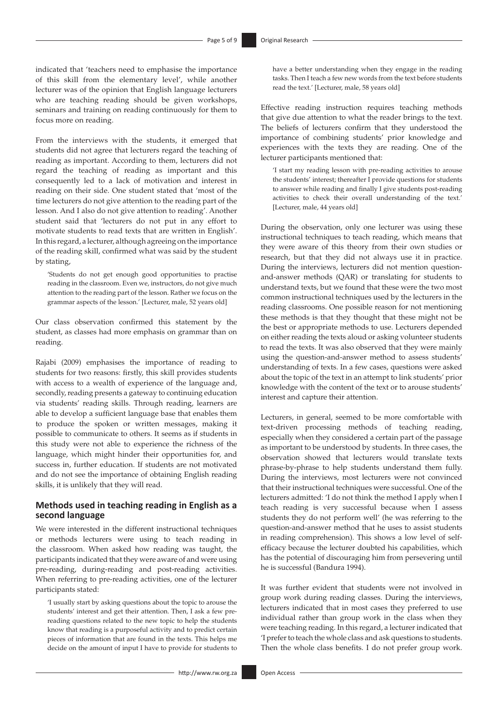indicated that 'teachers need to emphasise the importance of this skill from the elementary level', while another lecturer was of the opinion that English language lecturers who are teaching reading should be given workshops, seminars and training on reading continuously for them to focus more on reading.

From the interviews with the students, it emerged that students did not agree that lecturers regard the teaching of reading as important. According to them, lecturers did not regard the teaching of reading as important and this consequently led to a lack of motivation and interest in reading on their side. One student stated that 'most of the time lecturers do not give attention to the reading part of the lesson. And I also do not give attention to reading'. Another student said that 'lecturers do not put in any effort to motivate students to read texts that are written in English'. In this regard, a lecturer, although agreeing on the importance of the reading skill, confirmed what was said by the student by stating,

'Students do not get enough good opportunities to practise reading in the classroom. Even we, instructors, do not give much attention to the reading part of the lesson. Rather we focus on the grammar aspects of the lesson.' [Lecturer, male, 52 years old]

Our class observation confirmed this statement by the student, as classes had more emphasis on grammar than on reading.

Rajabi (2009) emphasises the importance of reading to students for two reasons: firstly, this skill provides students with access to a wealth of experience of the language and, secondly, reading presents a gateway to continuing education via students' reading skills. Through reading, learners are able to develop a sufficient language base that enables them to produce the spoken or written messages, making it possible to communicate to others. It seems as if students in this study were not able to experience the richness of the language, which might hinder their opportunities for, and success in, further education. If students are not motivated and do not see the importance of obtaining English reading skills, it is unlikely that they will read.

## **Methods used in teaching reading in English as a second language**

We were interested in the different instructional techniques or methods lecturers were using to teach reading in the classroom. When asked how reading was taught, the participants indicated that they were aware of and were using pre-reading, during-reading and post-reading activities. When referring to pre-reading activities, one of the lecturer participants stated:

'I usually start by asking questions about the topic to arouse the students' interest and get their attention. Then, I ask a few prereading questions related to the new topic to help the students know that reading is a purposeful activity and to predict certain pieces of information that are found in the texts. This helps me decide on the amount of input I have to provide for students to have a better understanding when they engage in the reading tasks. Then I teach a few new words from the text before students read the text.' [Lecturer, male, 58 years old]

Effective reading instruction requires teaching methods that give due attention to what the reader brings to the text. The beliefs of lecturers confirm that they understood the importance of combining students' prior knowledge and experiences with the texts they are reading. One of the lecturer participants mentioned that:

'I start my reading lesson with pre-reading activities to arouse the students' interest; thereafter I provide questions for students to answer while reading and finally I give students post-reading activities to check their overall understanding of the text.' [Lecturer, male, 44 years old]

During the observation, only one lecturer was using these instructional techniques to teach reading, which means that they were aware of this theory from their own studies or research, but that they did not always use it in practice. During the interviews, lecturers did not mention questionand-answer methods (QAR) or translating for students to understand texts, but we found that these were the two most common instructional techniques used by the lecturers in the reading classrooms. One possible reason for not mentioning these methods is that they thought that these might not be the best or appropriate methods to use. Lecturers depended on either reading the texts aloud or asking volunteer students to read the texts. It was also observed that they were mainly using the question-and-answer method to assess students' understanding of texts. In a few cases, questions were asked about the topic of the text in an attempt to link students' prior knowledge with the content of the text or to arouse students' interest and capture their attention.

Lecturers, in general, seemed to be more comfortable with text-driven processing methods of teaching reading, especially when they considered a certain part of the passage as important to be understood by students. In three cases, the observation showed that lecturers would translate texts phrase-by-phrase to help students understand them fully. During the interviews, most lecturers were not convinced that their instructional techniques were successful. One of the lecturers admitted: 'I do not think the method I apply when I teach reading is very successful because when I assess students they do not perform well' (he was referring to the question-and-answer method that he uses to assist students in reading comprehension). This shows a low level of selfefficacy because the lecturer doubted his capabilities, which has the potential of discouraging him from persevering until he is successful (Bandura 1994).

It was further evident that students were not involved in group work during reading classes. During the interviews, lecturers indicated that in most cases they preferred to use individual rather than group work in the class when they were teaching reading. In this regard, a lecturer indicated that 'I prefer to teach the whole class and ask questions to students. Then the whole class benefits. I do not prefer group work.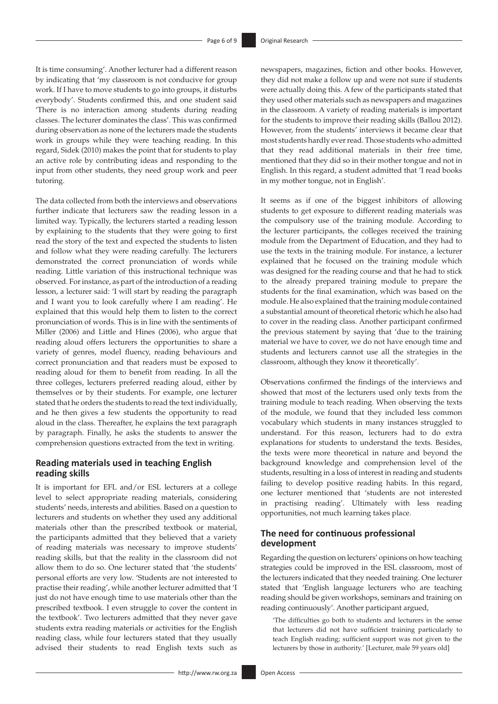It is time consuming'. Another lecturer had a different reason by indicating that 'my classroom is not conducive for group work. If I have to move students to go into groups, it disturbs everybody'. Students confirmed this, and one student said 'There is no interaction among students during reading classes. The lecturer dominates the class'. This was confirmed during observation as none of the lecturers made the students work in groups while they were teaching reading. In this regard, Sidek (2010) makes the point that for students to play an active role by contributing ideas and responding to the input from other students, they need group work and peer tutoring.

The data collected from both the interviews and observations further indicate that lecturers saw the reading lesson in a limited way. Typically, the lecturers started a reading lesson by explaining to the students that they were going to first read the story of the text and expected the students to listen and follow what they were reading carefully. The lecturers demonstrated the correct pronunciation of words while reading. Little variation of this instructional technique was observed. For instance, as part of the introduction of a reading lesson, a lecturer said: 'I will start by reading the paragraph and I want you to look carefully where I am reading'. He explained that this would help them to listen to the correct pronunciation of words. This is in line with the sentiments of Miller (2006) and Little and Hines (2006), who argue that reading aloud offers lecturers the opportunities to share a variety of genres, model fluency, reading behaviours and correct pronunciation and that readers must be exposed to reading aloud for them to benefit from reading. In all the three colleges, lecturers preferred reading aloud, either by themselves or by their students. For example, one lecturer stated that he orders the students to read the text individually, and he then gives a few students the opportunity to read aloud in the class. Thereafter, he explains the text paragraph by paragraph. Finally, he asks the students to answer the comprehension questions extracted from the text in writing.

#### **Reading materials used in teaching English reading skills**

It is important for EFL and/or ESL lecturers at a college level to select appropriate reading materials, considering students' needs, interests and abilities. Based on a question to lecturers and students on whether they used any additional materials other than the prescribed textbook or material, the participants admitted that they believed that a variety of reading materials was necessary to improve students' reading skills, but that the reality in the classroom did not allow them to do so. One lecturer stated that 'the students' personal efforts are very low. 'Students are not interested to practise their reading', while another lecturer admitted that 'I just do not have enough time to use materials other than the prescribed textbook. I even struggle to cover the content in the textbook'. Two lecturers admitted that they never gave students extra reading materials or activities for the English reading class, while four lecturers stated that they usually advised their students to read English texts such as

newspapers, magazines, fiction and other books. However, they did not make a follow up and were not sure if students were actually doing this. A few of the participants stated that they used other materials such as newspapers and magazines in the classroom. A variety of reading materials is important for the students to improve their reading skills (Ballou 2012). However, from the students' interviews it became clear that most students hardly ever read. Those students who admitted that they read additional materials in their free time, mentioned that they did so in their mother tongue and not in English. In this regard, a student admitted that 'I read books in my mother tongue, not in English'.

It seems as if one of the biggest inhibitors of allowing students to get exposure to different reading materials was the compulsory use of the training module. According to the lecturer participants, the colleges received the training module from the Department of Education, and they had to use the texts in the training module. For instance, a lecturer explained that he focused on the training module which was designed for the reading course and that he had to stick to the already prepared training module to prepare the students for the final examination, which was based on the module. He also explained that the training module contained a substantial amount of theoretical rhetoric which he also had to cover in the reading class. Another participant confirmed the previous statement by saying that 'due to the training material we have to cover, we do not have enough time and students and lecturers cannot use all the strategies in the classroom, although they know it theoretically'.

Observations confirmed the findings of the interviews and showed that most of the lecturers used only texts from the training module to teach reading. When observing the texts of the module, we found that they included less common vocabulary which students in many instances struggled to understand. For this reason, lecturers had to do extra explanations for students to understand the texts. Besides, the texts were more theoretical in nature and beyond the background knowledge and comprehension level of the students, resulting in a loss of interest in reading and students failing to develop positive reading habits. In this regard, one lecturer mentioned that 'students are not interested in practising reading'. Ultimately with less reading opportunities, not much learning takes place.

## **The need for continuous professional development**

Regarding the question on lecturers' opinions on how teaching strategies could be improved in the ESL classroom, most of the lecturers indicated that they needed training. One lecturer stated that 'English language lecturers who are teaching reading should be given workshops, seminars and training on reading continuously'. Another participant argued,

'The difficulties go both to students and lecturers in the sense that lecturers did not have sufficient training particularly to teach English reading; sufficient support was not given to the lecturers by those in authority.' [Lecturer, male 59 years old]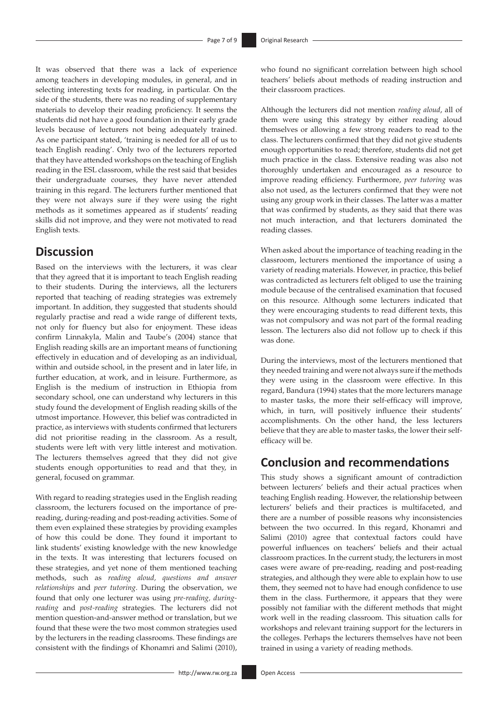It was observed that there was a lack of experience among teachers in developing modules, in general, and in selecting interesting texts for reading, in particular. On the side of the students, there was no reading of supplementary materials to develop their reading proficiency. It seems the students did not have a good foundation in their early grade levels because of lecturers not being adequately trained. As one participant stated, 'training is needed for all of us to teach English reading'. Only two of the lecturers reported that they have attended workshops on the teaching of English reading in the ESL classroom, while the rest said that besides their undergraduate courses, they have never attended training in this regard. The lecturers further mentioned that they were not always sure if they were using the right methods as it sometimes appeared as if students' reading skills did not improve, and they were not motivated to read English texts.

# **Discussion**

Based on the interviews with the lecturers, it was clear that they agreed that it is important to teach English reading to their students. During the interviews, all the lecturers reported that teaching of reading strategies was extremely important. In addition, they suggested that students should regularly practise and read a wide range of different texts, not only for fluency but also for enjoyment. These ideas confirm Linnakyla, Malin and Taube's (2004) stance that English reading skills are an important means of functioning effectively in education and of developing as an individual, within and outside school, in the present and in later life, in further education, at work, and in leisure. Furthermore, as English is the medium of instruction in Ethiopia from secondary school, one can understand why lecturers in this study found the development of English reading skills of the utmost importance. However, this belief was contradicted in practice, as interviews with students confirmed that lecturers did not prioritise reading in the classroom. As a result, students were left with very little interest and motivation. The lecturers themselves agreed that they did not give students enough opportunities to read and that they, in general, focused on grammar.

With regard to reading strategies used in the English reading classroom, the lecturers focused on the importance of prereading, during-reading and post-reading activities. Some of them even explained these strategies by providing examples of how this could be done. They found it important to link students' existing knowledge with the new knowledge in the texts. It was interesting that lecturers focused on these strategies, and yet none of them mentioned teaching methods, such as *reading aloud, questions and answer relationships* and *peer tutoring*. During the observation, we found that only one lecturer was using *pre-reading, duringreading* and *post-reading* strategies. The lecturers did not mention question-and-answer method or translation, but we found that these were the two most common strategies used by the lecturers in the reading classrooms. These findings are consistent with the findings of Khonamri and Salimi (2010),

who found no significant correlation between high school teachers' beliefs about methods of reading instruction and their classroom practices.

Although the lecturers did not mention *reading aloud*, all of them were using this strategy by either reading aloud themselves or allowing a few strong readers to read to the class. The lecturers confirmed that they did not give students enough opportunities to read; therefore, students did not get much practice in the class. Extensive reading was also not thoroughly undertaken and encouraged as a resource to improve reading efficiency. Furthermore, *peer tutoring* was also not used, as the lecturers confirmed that they were not using any group work in their classes. The latter was a matter that was confirmed by students, as they said that there was not much interaction, and that lecturers dominated the reading classes.

When asked about the importance of teaching reading in the classroom, lecturers mentioned the importance of using a variety of reading materials. However, in practice, this belief was contradicted as lecturers felt obliged to use the training module because of the centralised examination that focused on this resource. Although some lecturers indicated that they were encouraging students to read different texts, this was not compulsory and was not part of the formal reading lesson. The lecturers also did not follow up to check if this was done.

During the interviews, most of the lecturers mentioned that they needed training and were not always sure if the methods they were using in the classroom were effective. In this regard, Bandura (1994) states that the more lecturers manage to master tasks, the more their self-efficacy will improve, which, in turn, will positively influence their students' accomplishments. On the other hand, the less lecturers believe that they are able to master tasks, the lower their selfefficacy will be.

# **Conclusion and recommendations**

This study shows a significant amount of contradiction between lecturers' beliefs and their actual practices when teaching English reading. However, the relationship between lecturers' beliefs and their practices is multifaceted, and there are a number of possible reasons why inconsistencies between the two occurred. In this regard, Khonamri and Salimi (2010) agree that contextual factors could have powerful influences on teachers' beliefs and their actual classroom practices. In the current study, the lecturers in most cases were aware of pre-reading, reading and post-reading strategies, and although they were able to explain how to use them, they seemed not to have had enough confidence to use them in the class. Furthermore, it appears that they were possibly not familiar with the different methods that might work well in the reading classroom. This situation calls for workshops and relevant training support for the lecturers in the colleges. Perhaps the lecturers themselves have not been trained in using a variety of reading methods.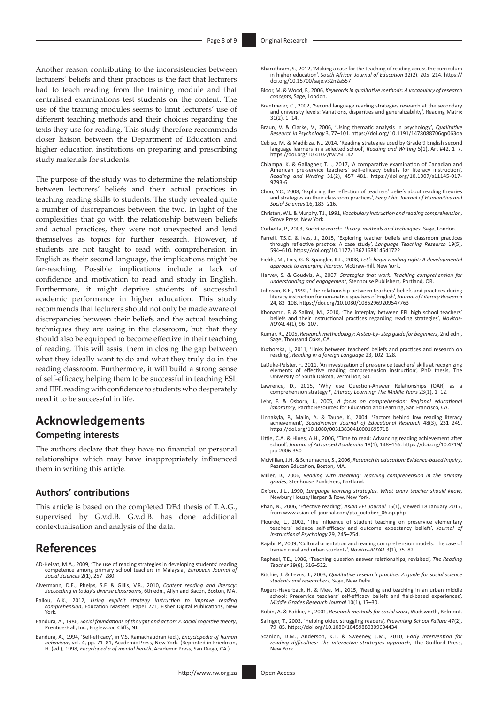Another reason contributing to the inconsistencies between lecturers' beliefs and their practices is the fact that lecturers had to teach reading from the training module and that centralised examinations test students on the content. The use of the training modules seems to limit lecturers' use of different teaching methods and their choices regarding the texts they use for reading. This study therefore recommends closer liaison between the Department of Education and higher education institutions on preparing and prescribing study materials for students.

The purpose of the study was to determine the relationship between lecturers' beliefs and their actual practices in teaching reading skills to students. The study revealed quite a number of discrepancies between the two. In light of the complexities that go with the relationship between beliefs and actual practices, they were not unexpected and lend themselves as topics for further research. However, if students are not taught to read with comprehension in English as their second language, the implications might be far-reaching. Possible implications include a lack of confidence and motivation to read and study in English. Furthermore, it might deprive students of successful academic performance in higher education. This study recommends that lecturers should not only be made aware of discrepancies between their beliefs and the actual teaching techniques they are using in the classroom, but that they should also be equipped to become effective in their teaching of reading. This will assist them in closing the gap between what they ideally want to do and what they truly do in the reading classroom. Furthermore, it will build a strong sense of self-efficacy, helping them to be successful in teaching ESL and EFL reading with confidence to students who desperately need it to be successful in life.

# **Acknowledgements**

#### **Competing interests**

The authors declare that they have no financial or personal relationships which may have inappropriately influenced them in writing this article.

#### **Authors' contributions**

This article is based on the completed DEd thesis of T.A.G., supervised by G.v.d.B. G.v.d.B. has done additional contextualisation and analysis of the data.

## **References**

- AD-Heisat, M.A., 2009, 'The use of reading strategies in developing students' reading competence among primary school teachers in Malaysia', *European Journal of Social Sciences* 2(1), 257–280.
- Alvermann, D.E., Phelps, S.F. & Gillis, V.R., 2010, *Content reading and literacy: Succeeding in today's diverse classrooms*, 6th edn., Allyn and Bacon, Boston, MA.
- Ballou, A.K., 2012, *Using explicit strategy instruction to improve reading comprehension*, Education Masters, Paper 221, Fisher Digital Publications, New York.
- Bandura, A., 1986, *Social foundations of thought and action: A social cognitive theory*, Prentice-Hall, Inc., Englewood Cliffs, NJ.
- Bandura, A., 1994, 'Self-efficacy', in V.S. Ramachaudran (ed.), *Encyclopedia of human behaviour*, vol. 4, pp. 71–81, Academic Press, New York. (Reprinted in Friedman, H. (ed.), 1998, *Encyclopedia of mental health*, Academic Press, San Diego, CA.)
- Bharuthram, S., 2012, 'Making a case for the teaching of reading across the curriculum in higher education', *South African Journal of Education* 32(2), 205–214. [https://](https://doi.org/10.15700/saje.v32n2a557) [doi.org/10.15700/saje.v32n2a557](https://doi.org/10.15700/saje.v32n2a557)
- Bloor, M. & Wood, F., 2006, *Keywords in qualitative methods: A vocabulary of research concepts*, Sage, London.
- Brantmeier, C., 2002, 'Second language reading strategies research at the secondary and university levels: Variations, disparities and generalizability', Reading Matrix 31(2), 1–14.
- Braun, V. & Clarke, V., 2006, 'Using thematic analysis in psychology', *Qualitative Research in Psychology* 3, 77–101.<https://doi.org/10.1191/1478088706qp063oa>
- Cekiso, M. & Madikiza, N., 2014, 'Reading strategies used by Grade 9 English second language learners in a selected school', *Reading and Writing* 5(1), Art #42, 1–7. <https://doi.org/10.4102/rw.v5i1.42>
- Chiampa, K. & Gallagher, T.L., 2017, 'A comparative examination of Canadian and<br>American pre-service teachers' self-efficacy beliefs for literacy instruction',<br>Reading and Writing 31(2), 457–481. https://doi.org/10.1007/s1 [9793-6](https://doi.org/10.1007/s11145-017-9793-6)
- Chou, Y.C., 2008, 'Exploring the reflection of teachers' beliefs about reading theories and strategies on their classroom practices', *Feng Chia Journal of Humanities and Social Sciences* 16, 183–216.
- Christen, W.L. & Murphy, T.J., 1991, *Vocabulary instruction and reading comprehension*, Grove Press, New York.
- Corbetta, P., 2003, *Social research: Theory, methods and techniques*, Sage, London.
- Farrell, T.S.C. & Ives, J., 2015, 'Exploring teacher beliefs and classroom practices through reflective practice: A case study', *Language Teaching Research* 19(5), 594–610.<https://doi.org/10.1177/1362168814541722>
- Fields, M., Lois, G. & Spangler, K.L., 2008, *Let's begin reading right: A developmental approach to emerging literacy*, McGraw-Hill, New York.
- Harvey, S. & Goudvis, A., 2007, *Strategies that work: Teaching comprehension for understanding and engagement*, Stenhouse Publishers, Portland, OR.
- Johnson, K.E., 1992, 'The relationship between teachers' beliefs and practices during literacy instruction for non-native speakers of English', *Journal of Literacy Research* 24, 83–108.<https://doi.org/10.1080/10862969209547763>
- Khonamri, F. & Salimi, M., 2010, 'The interplay between EFL high school teachers' beliefs and their instructional practices regarding reading strategies', *Novitas-ROYAL* 4(1), 96–107.
- Kumar, R., 2005, *Research methodology: A step-by- step guide for beginners*, 2nd edn., Sage, Thousand Oaks, CA.
- Kuzborska, I., 2011, 'Links between teachers' beliefs and practices and research on reading', *Reading in a foreign Language* 23, 102–128.
- LaDuke-Pelster, F., 2011, 'An investigation of pre-service teachers' skills at recognizing elements of effective reading comprehension instruction', PhD thesis, The University of South Dakota, Vermillion, SD.
- Lawrence, D., 2015, 'Why use Question-Answer Relationships (QAR) as a comprehension strategy?', *Literacy Learning: The Middle Years* 23(1), 1–12.
- Lehr, F. & Osborn, J., 2005, *A focus on comprehension: Regional educational laboratory*, Pacific Resources for Education and Learning, San Francisco, CA.
- Linnakyla, P., Malin, A. & Taube, K., 2004, 'Factors behind low reading literacy achievement', *Scandinavian Journal of Educational Research* 48(3), 231–249. <https://doi.org/10.1080/00313830410001695718>
- Little, C.A. & Hines, A.H., 2006, 'Time to read: Advancing reading achievement after school', *Journal of Advanced Academics* 18(1), 148–156. [https://doi.org/10.4219/](https://doi.org/10.4219/jaa-2006-350) [jaa-2006-350](https://doi.org/10.4219/jaa-2006-350)
- McMillan, J.H. & Schumacher, S., 2006, *Research in education: Evidence-based inquiry*, Pearson Education, Boston, MA.
- Miller, D., 2006, *Reading with meaning: Teaching comprehension in the primary grades*, Stenhouse Publishers, Portland.
- Oxford, J.L., 1990, *Language learning strategies. What every teacher should know*, Newbury House/Harper & Row, New York.
- Phan, N., 2006, 'Effective reading', *Asian EFL Journal* 15(1), viewed 18 January 2017, from [www.asian-efl-journal.com/pta\\_october\\_06.np.php](www.asian-efl-journal.com/pta_october_06.np.php)
- Plourde, L., 2002, 'The influence of student teaching on preservice elementary teachers' science self-efficacy and outcome expectancy beliefs', *Journal of Instructional Psychology* 29, 245–254.
- Rajabi, P., 2009, 'Cultural orientation and reading comprehension models: The case of Iranian rural and urban students', *Novitas-ROYAL* 3(1), 75–82.
- Raphael, T.E., 1986, 'Teaching question answer relationships, revisited', *The Reading Teacher* 39(6), 516–522.
- Ritchie, J. & Lewis, J., 2003, *Qualitative research practice*: *A guide for social science students and researchers*, Sage, New Delhi.
- Rogers-Haverback, H. & Mee, M., 2015, 'Reading and teaching in an urban middle school: Preservice teachers' self-efficacy beliefs and field-based experiences', *Middle Grades Research Journal* 10(1), 17–30.
- Rubin, A. & Babbie, E., 2001, *Research methods for social work*, Wadsworth, Belmont.
- Salinger, T., 2003, 'Helping older, struggling readers', *Preventing School Failure* 47(2), 79–85.<https://doi.org/10.1080/10459880309604434>
- Scanlon, D.M., Anderson, K.L. & Sweeney, J.M., 2010, *Early intervention for reading difficulties: The interactive strategies approach*, The Guilford Press, New York.